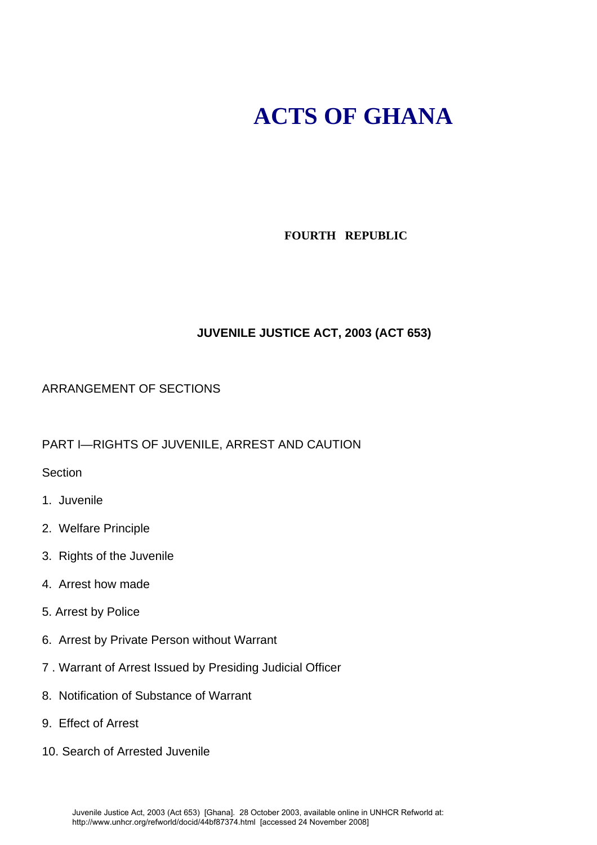# **ACTS OF GHANA**

# **FOURTH REPUBLIC**

# **JUVENILE JUSTICE ACT, 2003 (ACT 653)**

## ARRANGEMENT OF SECTIONS

PART I—RIGHTS OF JUVENILE, ARREST AND CAUTION

Section

- 1. Juvenile
- 2. Welfare Principle
- 3. Rights of the Juvenile
- 4. Arrest how made
- 5. Arrest by Police
- 6. Arrest by Private Person without Warrant
- 7 . Warrant of Arrest Issued by Presiding Judicial Officer
- 8. Notification of Substance of Warrant
- 9. Effect of Arrest
- 10. Search of Arrested Juvenile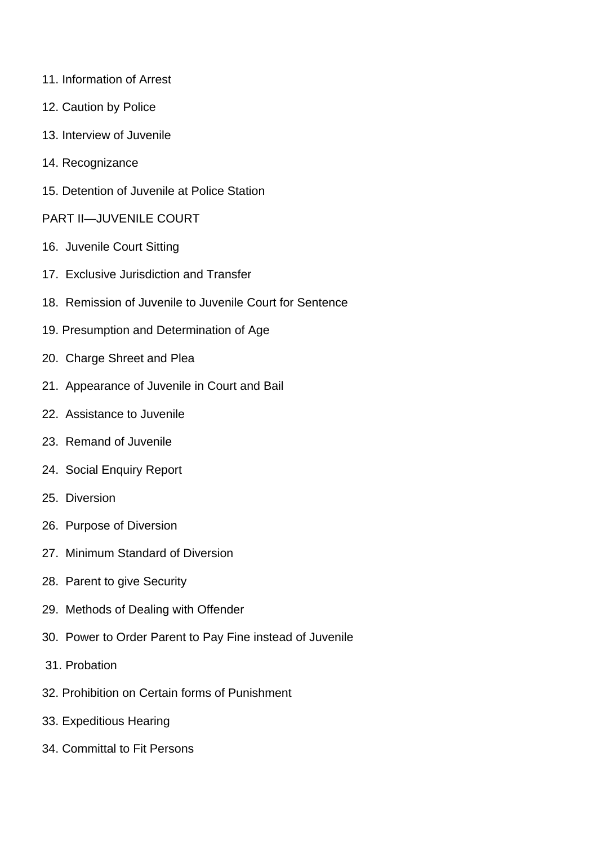- 11. Information of Arrest
- 12. Caution by Police
- 13. Interview of Juvenile
- 14. Recognizance
- 15. Detention of Juvenile at Police Station
- PART II—JUVENILE COURT
- 16. Juvenile Court Sitting
- 17. Exclusive Jurisdiction and Transfer
- 18. Remission of Juvenile to Juvenile Court for Sentence
- 19. Presumption and Determination of Age
- 20. Charge Shreet and Plea
- 21. Appearance of Juvenile in Court and Bail
- 22. Assistance to Juvenile
- 23. Remand of Juvenile
- 24. Social Enquiry Report
- 25. Diversion
- 26. Purpose of Diversion
- 27. Minimum Standard of Diversion
- 28. Parent to give Security
- 29. Methods of Dealing with Offender
- 30. Power to Order Parent to Pay Fine instead of Juvenile
- 31. Probation
- 32. Prohibition on Certain forms of Punishment
- 33. Expeditious Hearing
- 34. Committal to Fit Persons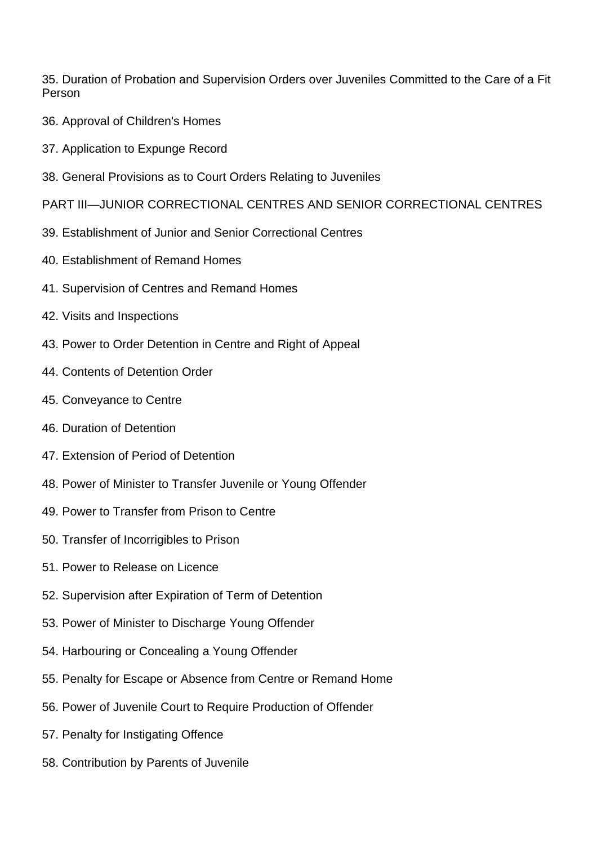35. Duration of Probation and Supervision Orders over Juveniles Committed to the Care of a Fit Person

- 36. Approval of Children's Homes
- 37. Application to Expunge Record
- 38. General Provisions as to Court Orders Relating to Juveniles
- PART III—JUNIOR CORRECTIONAL CENTRES AND SENIOR CORRECTIONAL CENTRES
- 39. Establishment of Junior and Senior Correctional Centres
- 40. Establishment of Remand Homes
- 41. Supervision of Centres and Remand Homes
- 42. Visits and Inspections
- 43. Power to Order Detention in Centre and Right of Appeal
- 44. Contents of Detention Order
- 45. Conveyance to Centre
- 46. Duration of Detention
- 47. Extension of Period of Detention
- 48. Power of Minister to Transfer Juvenile or Young Offender
- 49. Power to Transfer from Prison to Centre
- 50. Transfer of Incorrigibles to Prison
- 51. Power to Release on Licence
- 52. Supervision after Expiration of Term of Detention
- 53. Power of Minister to Discharge Young Offender
- 54. Harbouring or Concealing a Young Offender
- 55. Penalty for Escape or Absence from Centre or Remand Home
- 56. Power of Juvenile Court to Require Production of Offender
- 57. Penalty for Instigating Offence
- 58. Contribution by Parents of Juvenile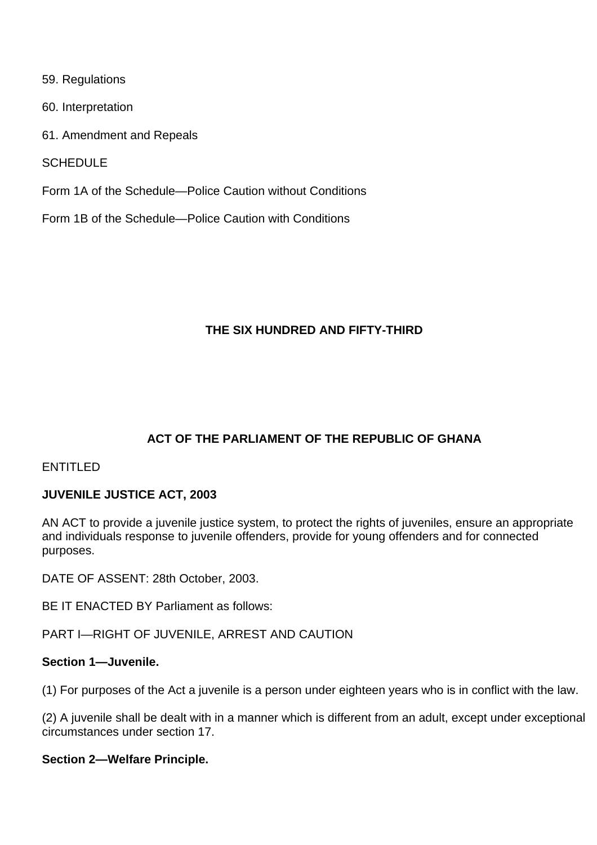- 59. Regulations
- 60. Interpretation
- 61. Amendment and Repeals

**SCHEDULE** 

- Form 1A of the Schedule—Police Caution without Conditions
- Form 1B of the Schedule—Police Caution with Conditions

## **THE SIX HUNDRED AND FIFTY-THIRD**

# **ACT OF THE PARLIAMENT OF THE REPUBLIC OF GHANA**

## ENTITLED

## **JUVENILE JUSTICE ACT, 2003**

AN ACT to provide a juvenile justice system, to protect the rights of juveniles, ensure an appropriate and individuals response to juvenile offenders, provide for young offenders and for connected purposes.

DATE OF ASSENT: 28th October, 2003.

BE IT ENACTED BY Parliament as follows:

PART I—RIGHT OF JUVENILE, ARREST AND CAUTION

## **Section 1—Juvenile.**

(1) For purposes of the Act a juvenile is a person under eighteen years who is in conflict with the law.

(2) A juvenile shall be dealt with in a manner which is different from an adult, except under exceptional circumstances under section 17.

#### **Section 2—Welfare Principle.**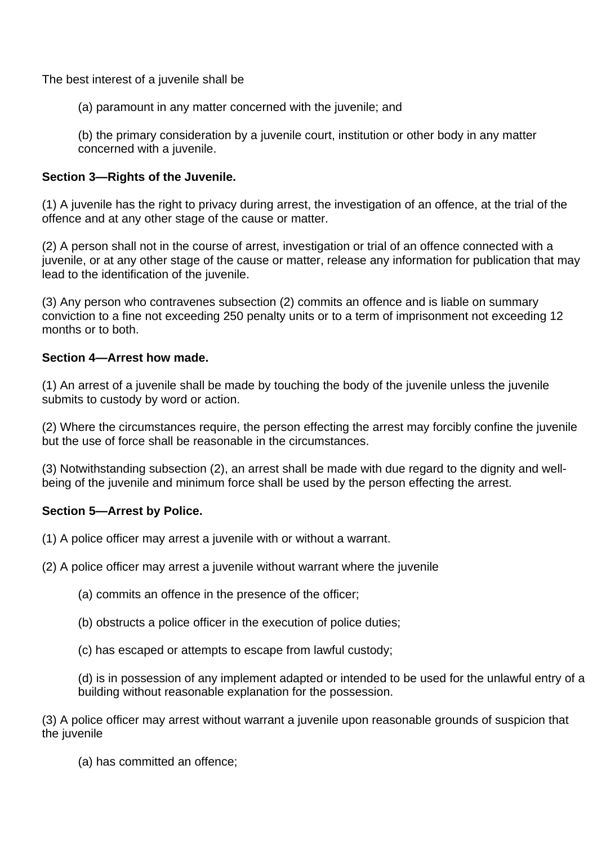The best interest of a juvenile shall be

(a) paramount in any matter concerned with the juvenile; and

(b) the primary consideration by a juvenile court, institution or other body in any matter concerned with a juvenile.

# **Section 3—Rights of the Juvenile.**

(1) A juvenile has the right to privacy during arrest, the investigation of an offence, at the trial of the offence and at any other stage of the cause or matter.

(2) A person shall not in the course of arrest, investigation or trial of an offence connected with a juvenile, or at any other stage of the cause or matter, release any information for publication that may lead to the identification of the juvenile.

(3) Any person who contravenes subsection (2) commits an offence and is liable on summary conviction to a fine not exceeding 250 penalty units or to a term of imprisonment not exceeding 12 months or to both.

## **Section 4—Arrest how made.**

(1) An arrest of a juvenile shall be made by touching the body of the juvenile unless the juvenile submits to custody by word or action.

(2) Where the circumstances require, the person effecting the arrest may forcibly confine the juvenile but the use of force shall be reasonable in the circumstances.

(3) Notwithstanding subsection (2), an arrest shall be made with due regard to the dignity and wellbeing of the juvenile and minimum force shall be used by the person effecting the arrest.

# **Section 5—Arrest by Police.**

(1) A police officer may arrest a juvenile with or without a warrant.

(2) A police officer may arrest a juvenile without warrant where the juvenile

- (a) commits an offence in the presence of the officer;
- (b) obstructs a police officer in the execution of police duties;

(c) has escaped or attempts to escape from lawful custody;

(d) is in possession of any implement adapted or intended to be used for the unlawful entry of a building without reasonable explanation for the possession.

(3) A police officer may arrest without warrant a juvenile upon reasonable grounds of suspicion that the juvenile

(a) has committed an offence;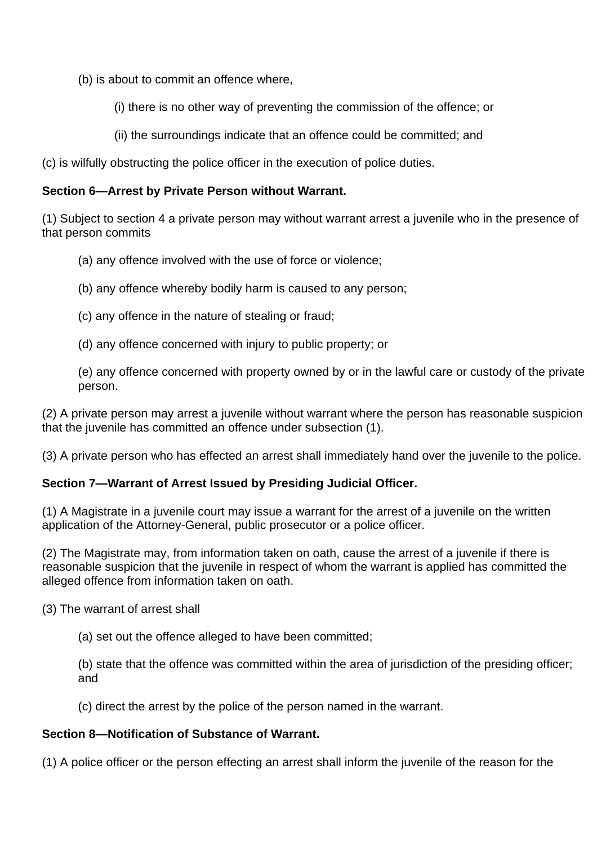(b) is about to commit an offence where,

(i) there is no other way of preventing the commission of the offence; or

(ii) the surroundings indicate that an offence could be committed; and

(c) is wilfully obstructing the police officer in the execution of police duties.

## **Section 6—Arrest by Private Person without Warrant.**

(1) Subject to section 4 a private person may without warrant arrest a juvenile who in the presence of that person commits

- (a) any offence involved with the use of force or violence;
- (b) any offence whereby bodily harm is caused to any person;
- (c) any offence in the nature of stealing or fraud;
- (d) any offence concerned with injury to public property; or

(e) any offence concerned with property owned by or in the lawful care or custody of the private person.

(2) A private person may arrest a juvenile without warrant where the person has reasonable suspicion that the juvenile has committed an offence under subsection (1).

(3) A private person who has effected an arrest shall immediately hand over the juvenile to the police.

# **Section 7—Warrant of Arrest Issued by Presiding Judicial Officer.**

(1) A Magistrate in a juvenile court may issue a warrant for the arrest of a juvenile on the written application of the Attorney-General, public prosecutor or a police officer.

(2) The Magistrate may, from information taken on oath, cause the arrest of a juvenile if there is reasonable suspicion that the juvenile in respect of whom the warrant is applied has committed the alleged offence from information taken on oath.

(3) The warrant of arrest shall

(a) set out the offence alleged to have been committed;

(b) state that the offence was committed within the area of jurisdiction of the presiding officer; and

(c) direct the arrest by the police of the person named in the warrant.

## **Section 8—Notification of Substance of Warrant.**

(1) A police officer or the person effecting an arrest shall inform the juvenile of the reason for the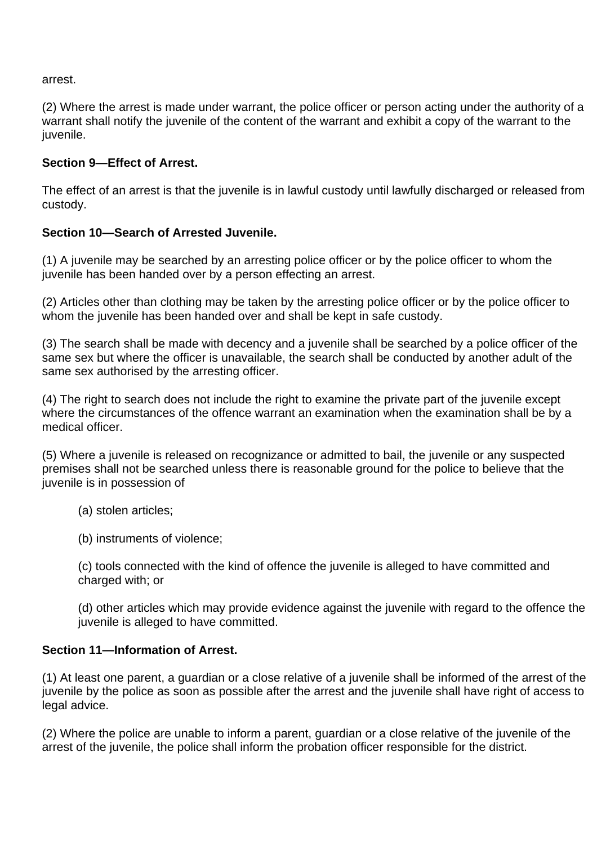arrest.

(2) Where the arrest is made under warrant, the police officer or person acting under the authority of a warrant shall notify the juvenile of the content of the warrant and exhibit a copy of the warrant to the juvenile.

## **Section 9—Effect of Arrest.**

The effect of an arrest is that the juvenile is in lawful custody until lawfully discharged or released from custody.

# **Section 10—Search of Arrested Juvenile.**

(1) A juvenile may be searched by an arresting police officer or by the police officer to whom the juvenile has been handed over by a person effecting an arrest.

(2) Articles other than clothing may be taken by the arresting police officer or by the police officer to whom the juvenile has been handed over and shall be kept in safe custody.

(3) The search shall be made with decency and a juvenile shall be searched by a police officer of the same sex but where the officer is unavailable, the search shall be conducted by another adult of the same sex authorised by the arresting officer.

(4) The right to search does not include the right to examine the private part of the juvenile except where the circumstances of the offence warrant an examination when the examination shall be by a medical officer.

(5) Where a juvenile is released on recognizance or admitted to bail, the juvenile or any suspected premises shall not be searched unless there is reasonable ground for the police to believe that the juvenile is in possession of

- (a) stolen articles;
- (b) instruments of violence;

(c) tools connected with the kind of offence the juvenile is alleged to have committed and charged with; or

(d) other articles which may provide evidence against the juvenile with regard to the offence the juvenile is alleged to have committed.

## **Section 11—Information of Arrest.**

(1) At least one parent, a guardian or a close relative of a juvenile shall be informed of the arrest of the juvenile by the police as soon as possible after the arrest and the juvenile shall have right of access to legal advice.

(2) Where the police are unable to inform a parent, guardian or a close relative of the juvenile of the arrest of the juvenile, the police shall inform the probation officer responsible for the district.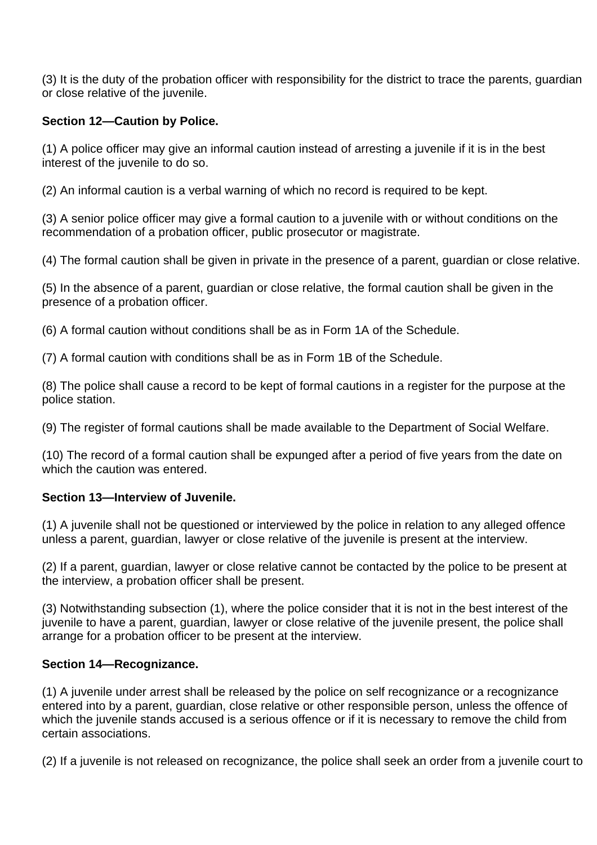(3) It is the duty of the probation officer with responsibility for the district to trace the parents, guardian or close relative of the juvenile.

# **Section 12—Caution by Police.**

(1) A police officer may give an informal caution instead of arresting a juvenile if it is in the best interest of the juvenile to do so.

(2) An informal caution is a verbal warning of which no record is required to be kept.

(3) A senior police officer may give a formal caution to a juvenile with or without conditions on the recommendation of a probation officer, public prosecutor or magistrate.

(4) The formal caution shall be given in private in the presence of a parent, guardian or close relative.

(5) In the absence of a parent, guardian or close relative, the formal caution shall be given in the presence of a probation officer.

(6) A formal caution without conditions shall be as in Form 1A of the Schedule.

(7) A formal caution with conditions shall be as in Form 1B of the Schedule.

(8) The police shall cause a record to be kept of formal cautions in a register for the purpose at the police station.

(9) The register of formal cautions shall be made available to the Department of Social Welfare.

(10) The record of a formal caution shall be expunged after a period of five years from the date on which the caution was entered.

# **Section 13—Interview of Juvenile.**

(1) A juvenile shall not be questioned or interviewed by the police in relation to any alleged offence unless a parent, guardian, lawyer or close relative of the juvenile is present at the interview.

(2) If a parent, guardian, lawyer or close relative cannot be contacted by the police to be present at the interview, a probation officer shall be present.

(3) Notwithstanding subsection (1), where the police consider that it is not in the best interest of the juvenile to have a parent, guardian, lawyer or close relative of the juvenile present, the police shall arrange for a probation officer to be present at the interview.

# **Section 14—Recognizance.**

(1) A juvenile under arrest shall be released by the police on self recognizance or a recognizance entered into by a parent, guardian, close relative or other responsible person, unless the offence of which the juvenile stands accused is a serious offence or if it is necessary to remove the child from certain associations.

(2) If a juvenile is not released on recognizance, the police shall seek an order from a juvenile court to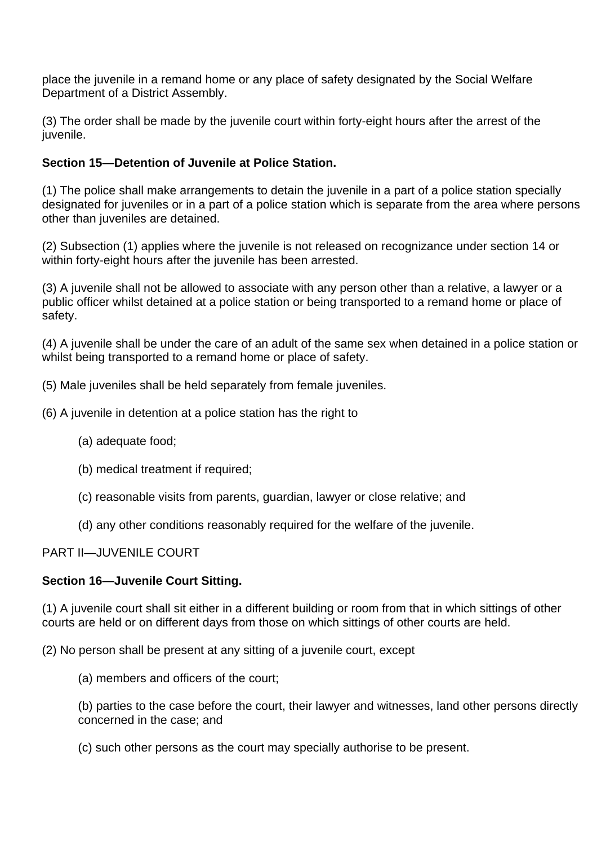place the juvenile in a remand home or any place of safety designated by the Social Welfare Department of a District Assembly.

(3) The order shall be made by the juvenile court within forty-eight hours after the arrest of the juvenile.

# **Section 15—Detention of Juvenile at Police Station.**

(1) The police shall make arrangements to detain the juvenile in a part of a police station specially designated for juveniles or in a part of a police station which is separate from the area where persons other than juveniles are detained.

(2) Subsection (1) applies where the juvenile is not released on recognizance under section 14 or within forty-eight hours after the juvenile has been arrested.

(3) A juvenile shall not be allowed to associate with any person other than a relative, a lawyer or a public officer whilst detained at a police station or being transported to a remand home or place of safety.

(4) A juvenile shall be under the care of an adult of the same sex when detained in a police station or whilst being transported to a remand home or place of safety.

- (5) Male juveniles shall be held separately from female juveniles.
- (6) A juvenile in detention at a police station has the right to
	- (a) adequate food;
	- (b) medical treatment if required;
	- (c) reasonable visits from parents, guardian, lawyer or close relative; and
	- (d) any other conditions reasonably required for the welfare of the juvenile.

## PART II—JUVENILE COURT

## **Section 16—Juvenile Court Sitting.**

(1) A juvenile court shall sit either in a different building or room from that in which sittings of other courts are held or on different days from those on which sittings of other courts are held.

(2) No person shall be present at any sitting of a juvenile court, except

(a) members and officers of the court;

(b) parties to the case before the court, their lawyer and witnesses, land other persons directly concerned in the case; and

(c) such other persons as the court may specially authorise to be present.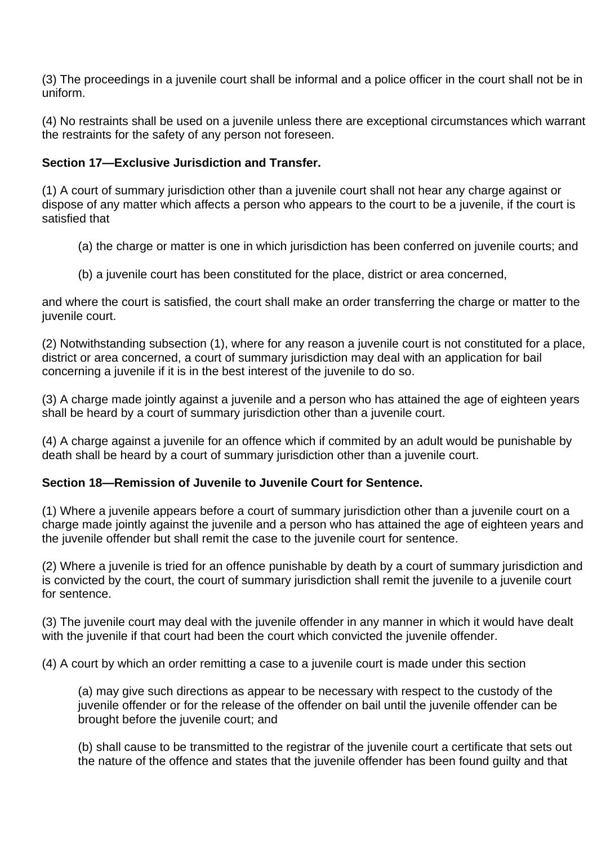(3) The proceedings in a juvenile court shall be informal and a police officer in the court shall not be in uniform.

(4) No restraints shall be used on a juvenile unless there are exceptional circumstances which warrant the restraints for the safety of any person not foreseen.

# **Section 17—Exclusive Jurisdiction and Transfer.**

(1) A court of summary jurisdiction other than a juvenile court shall not hear any charge against or dispose of any matter which affects a person who appears to the court to be a juvenile, if the court is satisfied that

- (a) the charge or matter is one in which jurisdiction has been conferred on juvenile courts; and
- (b) a juvenile court has been constituted for the place, district or area concerned,

and where the court is satisfied, the court shall make an order transferring the charge or matter to the juvenile court.

(2) Notwithstanding subsection (1), where for any reason a juvenile court is not constituted for a place, district or area concerned, a court of summary jurisdiction may deal with an application for bail concerning a juvenile if it is in the best interest of the juvenile to do so.

(3) A charge made jointly against a juvenile and a person who has attained the age of eighteen years shall be heard by a court of summary jurisdiction other than a juvenile court.

(4) A charge against a juvenile for an offence which if commited by an adult would be punishable by death shall be heard by a court of summary jurisdiction other than a juvenile court.

# **Section 18—Remission of Juvenile to Juvenile Court for Sentence.**

(1) Where a juvenile appears before a court of summary jurisdiction other than a juvenile court on a charge made jointly against the juvenile and a person who has attained the age of eighteen years and the juvenile offender but shall remit the case to the juvenile court for sentence.

(2) Where a juvenile is tried for an offence punishable by death by a court of summary jurisdiction and is convicted by the court, the court of summary jurisdiction shall remit the juvenile to a juvenile court for sentence.

(3) The juvenile court may deal with the juvenile offender in any manner in which it would have dealt with the juvenile if that court had been the court which convicted the juvenile offender.

(4) A court by which an order remitting a case to a juvenile court is made under this section

(a) may give such directions as appear to be necessary with respect to the custody of the juvenile offender or for the release of the offender on bail until the juvenile offender can be brought before the juvenile court; and

(b) shall cause to be transmitted to the registrar of the juvenile court a certificate that sets out the nature of the offence and states that the juvenile offender has been found guilty and that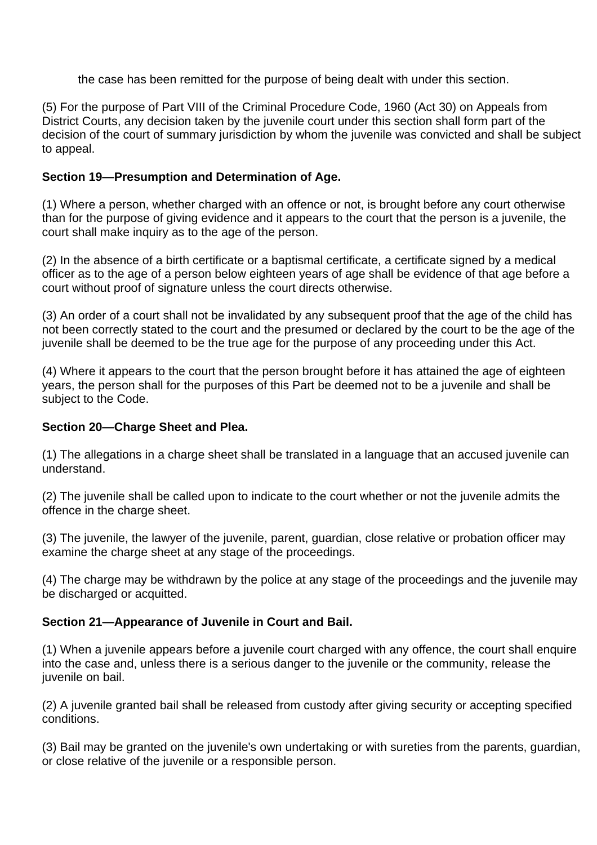the case has been remitted for the purpose of being dealt with under this section.

(5) For the purpose of Part VIII of the Criminal Procedure Code, 1960 (Act 30) on Appeals from District Courts, any decision taken by the juvenile court under this section shall form part of the decision of the court of summary jurisdiction by whom the juvenile was convicted and shall be subject to appeal.

# **Section 19—Presumption and Determination of Age.**

(1) Where a person, whether charged with an offence or not, is brought before any court otherwise than for the purpose of giving evidence and it appears to the court that the person is a juvenile, the court shall make inquiry as to the age of the person.

(2) In the absence of a birth certificate or a baptismal certificate, a certificate signed by a medical officer as to the age of a person below eighteen years of age shall be evidence of that age before a court without proof of signature unless the court directs otherwise.

(3) An order of a court shall not be invalidated by any subsequent proof that the age of the child has not been correctly stated to the court and the presumed or declared by the court to be the age of the juvenile shall be deemed to be the true age for the purpose of any proceeding under this Act.

(4) Where it appears to the court that the person brought before it has attained the age of eighteen years, the person shall for the purposes of this Part be deemed not to be a juvenile and shall be subject to the Code.

# **Section 20—Charge Sheet and Plea.**

(1) The allegations in a charge sheet shall be translated in a language that an accused juvenile can understand.

(2) The juvenile shall be called upon to indicate to the court whether or not the juvenile admits the offence in the charge sheet.

(3) The juvenile, the lawyer of the juvenile, parent, guardian, close relative or probation officer may examine the charge sheet at any stage of the proceedings.

(4) The charge may be withdrawn by the police at any stage of the proceedings and the juvenile may be discharged or acquitted.

# **Section 21—Appearance of Juvenile in Court and Bail.**

(1) When a juvenile appears before a juvenile court charged with any offence, the court shall enquire into the case and, unless there is a serious danger to the juvenile or the community, release the juvenile on bail.

(2) A juvenile granted bail shall be released from custody after giving security or accepting specified conditions.

(3) Bail may be granted on the juvenile's own undertaking or with sureties from the parents, guardian, or close relative of the juvenile or a responsible person.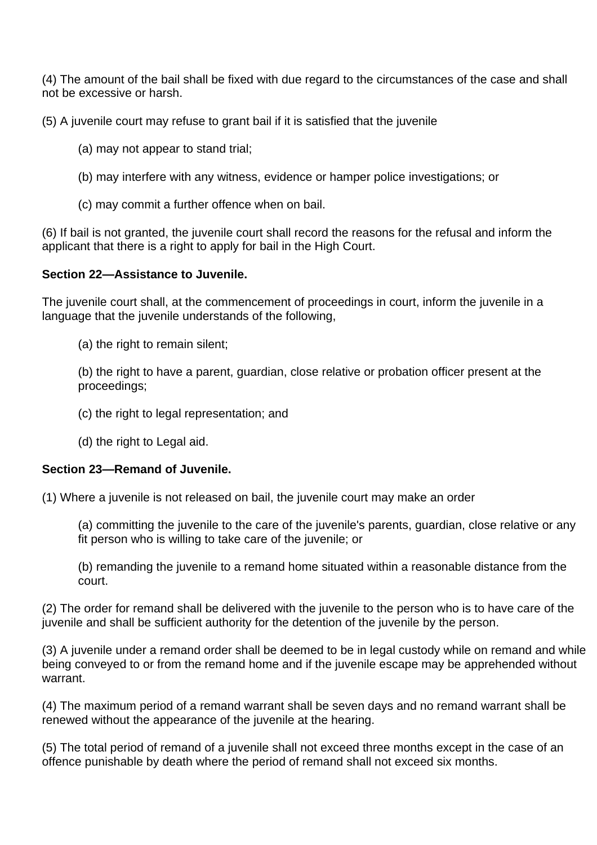(4) The amount of the bail shall be fixed with due regard to the circumstances of the case and shall not be excessive or harsh.

(5) A juvenile court may refuse to grant bail if it is satisfied that the juvenile

- (a) may not appear to stand trial;
- (b) may interfere with any witness, evidence or hamper police investigations; or
- (c) may commit a further offence when on bail.

(6) If bail is not granted, the juvenile court shall record the reasons for the refusal and inform the applicant that there is a right to apply for bail in the High Court.

## **Section 22—Assistance to Juvenile.**

The juvenile court shall, at the commencement of proceedings in court, inform the juvenile in a language that the juvenile understands of the following,

(a) the right to remain silent;

(b) the right to have a parent, guardian, close relative or probation officer present at the proceedings;

- (c) the right to legal representation; and
- (d) the right to Legal aid.

## **Section 23—Remand of Juvenile.**

(1) Where a juvenile is not released on bail, the juvenile court may make an order

(a) committing the juvenile to the care of the juvenile's parents, guardian, close relative or any fit person who is willing to take care of the juvenile; or

(b) remanding the juvenile to a remand home situated within a reasonable distance from the court.

(2) The order for remand shall be delivered with the juvenile to the person who is to have care of the juvenile and shall be sufficient authority for the detention of the juvenile by the person.

(3) A juvenile under a remand order shall be deemed to be in legal custody while on remand and while being conveyed to or from the remand home and if the juvenile escape may be apprehended without warrant.

(4) The maximum period of a remand warrant shall be seven days and no remand warrant shall be renewed without the appearance of the juvenile at the hearing.

(5) The total period of remand of a juvenile shall not exceed three months except in the case of an offence punishable by death where the period of remand shall not exceed six months.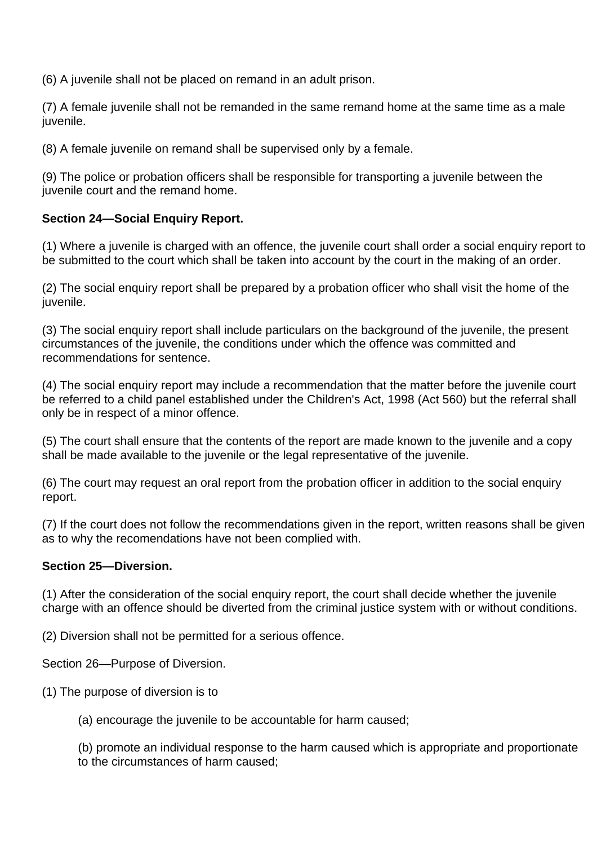(6) A juvenile shall not be placed on remand in an adult prison.

(7) A female juvenile shall not be remanded in the same remand home at the same time as a male juvenile.

(8) A female juvenile on remand shall be supervised only by a female.

(9) The police or probation officers shall be responsible for transporting a juvenile between the juvenile court and the remand home.

# **Section 24—Social Enquiry Report.**

(1) Where a juvenile is charged with an offence, the juvenile court shall order a social enquiry report to be submitted to the court which shall be taken into account by the court in the making of an order.

(2) The social enquiry report shall be prepared by a probation officer who shall visit the home of the juvenile.

(3) The social enquiry report shall include particulars on the background of the juvenile, the present circumstances of the juvenile, the conditions under which the offence was committed and recommendations for sentence.

(4) The social enquiry report may include a recommendation that the matter before the juvenile court be referred to a child panel established under the Children's Act, 1998 (Act 560) but the referral shall only be in respect of a minor offence.

(5) The court shall ensure that the contents of the report are made known to the juvenile and a copy shall be made available to the juvenile or the legal representative of the juvenile.

(6) The court may request an oral report from the probation officer in addition to the social enquiry report.

(7) If the court does not follow the recommendations given in the report, written reasons shall be given as to why the recomendations have not been complied with.

# **Section 25—Diversion.**

(1) After the consideration of the social enquiry report, the court shall decide whether the juvenile charge with an offence should be diverted from the criminal justice system with or without conditions.

(2) Diversion shall not be permitted for a serious offence.

Section 26—Purpose of Diversion.

(1) The purpose of diversion is to

(a) encourage the juvenile to be accountable for harm caused;

(b) promote an individual response to the harm caused which is appropriate and proportionate to the circumstances of harm caused;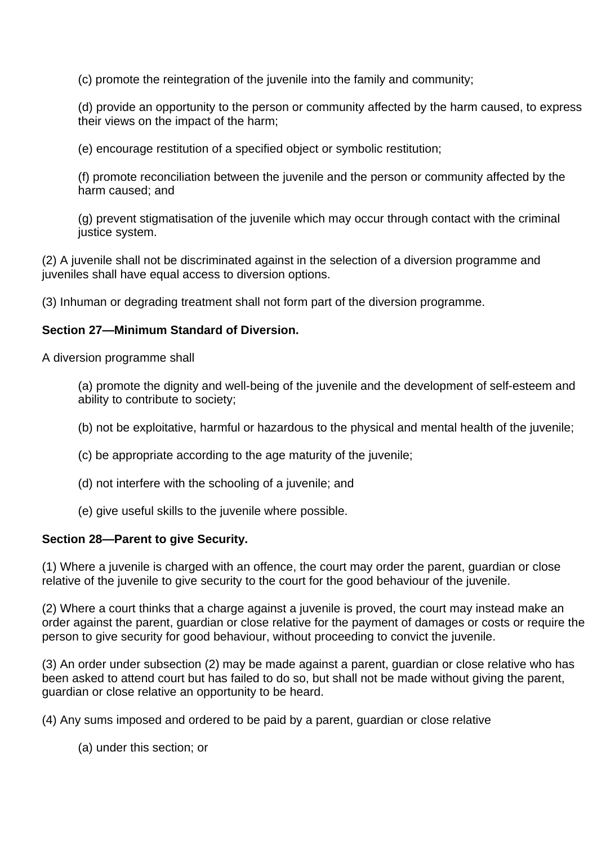(c) promote the reintegration of the juvenile into the family and community;

(d) provide an opportunity to the person or community affected by the harm caused, to express their views on the impact of the harm;

(e) encourage restitution of a specified object or symbolic restitution;

(f) promote reconciliation between the juvenile and the person or community affected by the harm caused; and

(g) prevent stigmatisation of the juvenile which may occur through contact with the criminal justice system.

(2) A juvenile shall not be discriminated against in the selection of a diversion programme and juveniles shall have equal access to diversion options.

(3) Inhuman or degrading treatment shall not form part of the diversion programme.

## **Section 27—Minimum Standard of Diversion.**

A diversion programme shall

(a) promote the dignity and well-being of the juvenile and the development of self-esteem and ability to contribute to society;

- (b) not be exploitative, harmful or hazardous to the physical and mental health of the juvenile;
- (c) be appropriate according to the age maturity of the juvenile;
- (d) not interfere with the schooling of a juvenile; and
- (e) give useful skills to the juvenile where possible.

## **Section 28—Parent to give Security.**

(1) Where a juvenile is charged with an offence, the court may order the parent, guardian or close relative of the juvenile to give security to the court for the good behaviour of the juvenile.

(2) Where a court thinks that a charge against a juvenile is proved, the court may instead make an order against the parent, guardian or close relative for the payment of damages or costs or require the person to give security for good behaviour, without proceeding to convict the juvenile.

(3) An order under subsection (2) may be made against a parent, guardian or close relative who has been asked to attend court but has failed to do so, but shall not be made without giving the parent, guardian or close relative an opportunity to be heard.

(4) Any sums imposed and ordered to be paid by a parent, guardian or close relative

(a) under this section; or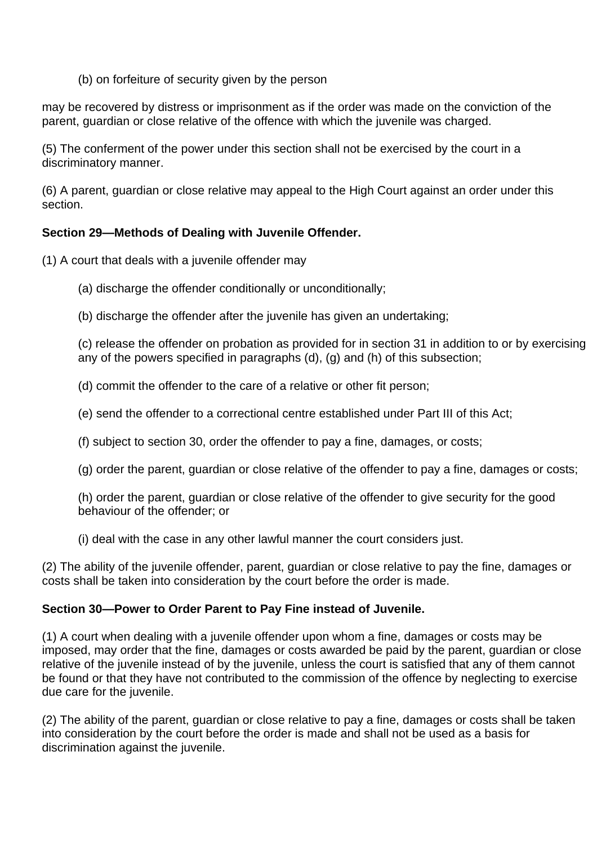(b) on forfeiture of security given by the person

may be recovered by distress or imprisonment as if the order was made on the conviction of the parent, guardian or close relative of the offence with which the juvenile was charged.

(5) The conferment of the power under this section shall not be exercised by the court in a discriminatory manner.

(6) A parent, guardian or close relative may appeal to the High Court against an order under this section.

# **Section 29—Methods of Dealing with Juvenile Offender.**

(1) A court that deals with a juvenile offender may

(a) discharge the offender conditionally or unconditionally;

(b) discharge the offender after the juvenile has given an undertaking;

(c) release the offender on probation as provided for in section 31 in addition to or by exercising any of the powers specified in paragraphs (d), (g) and (h) of this subsection;

(d) commit the offender to the care of a relative or other fit person;

- (e) send the offender to a correctional centre established under Part III of this Act;
- (f) subject to section 30, order the offender to pay a fine, damages, or costs;
- (g) order the parent, guardian or close relative of the offender to pay a fine, damages or costs;

(h) order the parent, guardian or close relative of the offender to give security for the good behaviour of the offender; or

(i) deal with the case in any other lawful manner the court considers just.

(2) The ability of the juvenile offender, parent, guardian or close relative to pay the fine, damages or costs shall be taken into consideration by the court before the order is made.

## **Section 30—Power to Order Parent to Pay Fine instead of Juvenile.**

(1) A court when dealing with a juvenile offender upon whom a fine, damages or costs may be imposed, may order that the fine, damages or costs awarded be paid by the parent, guardian or close relative of the juvenile instead of by the juvenile, unless the court is satisfied that any of them cannot be found or that they have not contributed to the commission of the offence by neglecting to exercise due care for the juvenile.

(2) The ability of the parent, guardian or close relative to pay a fine, damages or costs shall be taken into consideration by the court before the order is made and shall not be used as a basis for discrimination against the juvenile.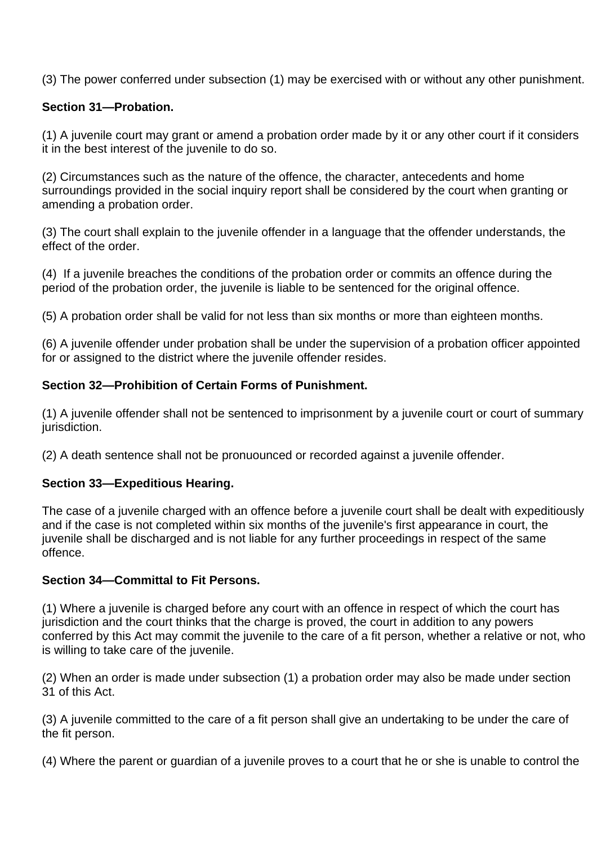(3) The power conferred under subsection (1) may be exercised with or without any other punishment.

## **Section 31—Probation.**

(1) A juvenile court may grant or amend a probation order made by it or any other court if it considers it in the best interest of the juvenile to do so.

(2) Circumstances such as the nature of the offence, the character, antecedents and home surroundings provided in the social inquiry report shall be considered by the court when granting or amending a probation order.

(3) The court shall explain to the juvenile offender in a language that the offender understands, the effect of the order.

(4) If a juvenile breaches the conditions of the probation order or commits an offence during the period of the probation order, the juvenile is liable to be sentenced for the original offence.

(5) A probation order shall be valid for not less than six months or more than eighteen months.

(6) A juvenile offender under probation shall be under the supervision of a probation officer appointed for or assigned to the district where the juvenile offender resides.

## **Section 32—Prohibition of Certain Forms of Punishment.**

(1) A juvenile offender shall not be sentenced to imprisonment by a juvenile court or court of summary jurisdiction.

(2) A death sentence shall not be pronuounced or recorded against a juvenile offender.

## **Section 33—Expeditious Hearing.**

The case of a juvenile charged with an offence before a juvenile court shall be dealt with expeditiously and if the case is not completed within six months of the juvenile's first appearance in court, the juvenile shall be discharged and is not liable for any further proceedings in respect of the same offence.

## **Section 34—Committal to Fit Persons.**

(1) Where a juvenile is charged before any court with an offence in respect of which the court has jurisdiction and the court thinks that the charge is proved, the court in addition to any powers conferred by this Act may commit the juvenile to the care of a fit person, whether a relative or not, who is willing to take care of the juvenile.

(2) When an order is made under subsection (1) a probation order may also be made under section 31 of this Act.

(3) A juvenile committed to the care of a fit person shall give an undertaking to be under the care of the fit person.

(4) Where the parent or guardian of a juvenile proves to a court that he or she is unable to control the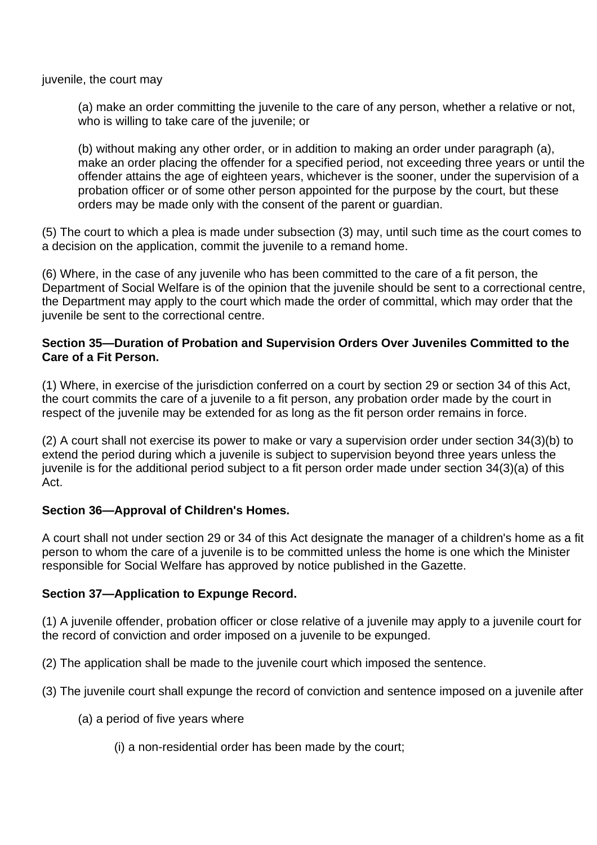juvenile, the court may

(a) make an order committing the juvenile to the care of any person, whether a relative or not, who is willing to take care of the juvenile; or

(b) without making any other order, or in addition to making an order under paragraph (a), make an order placing the offender for a specified period, not exceeding three years or until the offender attains the age of eighteen years, whichever is the sooner, under the supervision of a probation officer or of some other person appointed for the purpose by the court, but these orders may be made only with the consent of the parent or guardian.

(5) The court to which a plea is made under subsection (3) may, until such time as the court comes to a decision on the application, commit the juvenile to a remand home.

(6) Where, in the case of any juvenile who has been committed to the care of a fit person, the Department of Social Welfare is of the opinion that the juvenile should be sent to a correctional centre, the Department may apply to the court which made the order of committal, which may order that the juvenile be sent to the correctional centre.

## **Section 35—Duration of Probation and Supervision Orders Over Juveniles Committed to the Care of a Fit Person.**

(1) Where, in exercise of the jurisdiction conferred on a court by section 29 or section 34 of this Act, the court commits the care of a juvenile to a fit person, any probation order made by the court in respect of the juvenile may be extended for as long as the fit person order remains in force.

(2) A court shall not exercise its power to make or vary a supervision order under section 34(3)(b) to extend the period during which a juvenile is subject to supervision beyond three years unless the juvenile is for the additional period subject to a fit person order made under section 34(3)(a) of this Act.

# **Section 36—Approval of Children's Homes.**

A court shall not under section 29 or 34 of this Act designate the manager of a children's home as a fit person to whom the care of a juvenile is to be committed unless the home is one which the Minister responsible for Social Welfare has approved by notice published in the Gazette.

# **Section 37—Application to Expunge Record.**

(1) A juvenile offender, probation officer or close relative of a juvenile may apply to a juvenile court for the record of conviction and order imposed on a juvenile to be expunged.

(2) The application shall be made to the juvenile court which imposed the sentence.

(3) The juvenile court shall expunge the record of conviction and sentence imposed on a juvenile after

- (a) a period of five years where
	- (i) a non-residential order has been made by the court;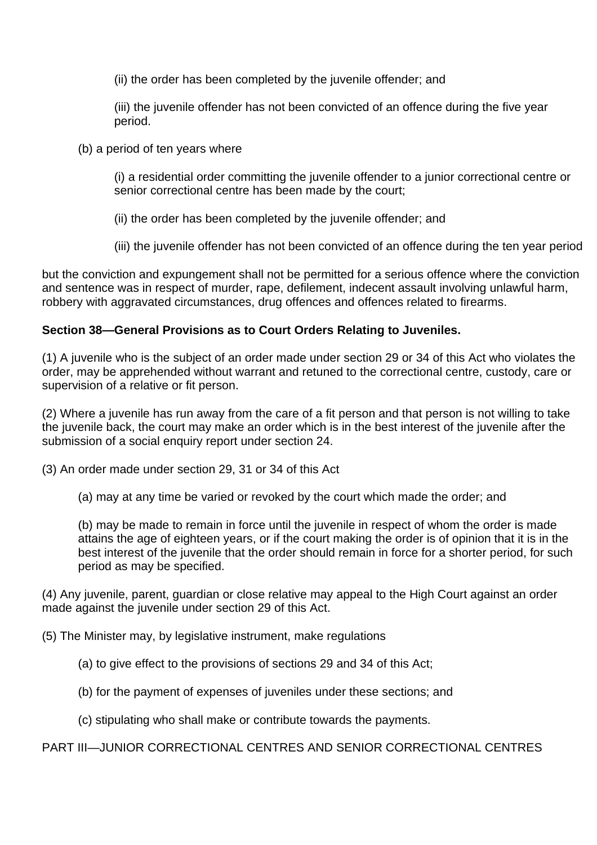(ii) the order has been completed by the juvenile offender; and

(iii) the juvenile offender has not been convicted of an offence during the five year period.

(b) a period of ten years where

(i) a residential order committing the juvenile offender to a junior correctional centre or senior correctional centre has been made by the court;

(ii) the order has been completed by the juvenile offender; and

(iii) the juvenile offender has not been convicted of an offence during the ten year period

but the conviction and expungement shall not be permitted for a serious offence where the conviction and sentence was in respect of murder, rape, defilement, indecent assault involving unlawful harm, robbery with aggravated circumstances, drug offences and offences related to firearms.

# **Section 38—General Provisions as to Court Orders Relating to Juveniles.**

(1) A juvenile who is the subject of an order made under section 29 or 34 of this Act who violates the order, may be apprehended without warrant and retuned to the correctional centre, custody, care or supervision of a relative or fit person.

(2) Where a juvenile has run away from the care of a fit person and that person is not willing to take the juvenile back, the court may make an order which is in the best interest of the juvenile after the submission of a social enquiry report under section 24.

(3) An order made under section 29, 31 or 34 of this Act

(a) may at any time be varied or revoked by the court which made the order; and

(b) may be made to remain in force until the juvenile in respect of whom the order is made attains the age of eighteen years, or if the court making the order is of opinion that it is in the best interest of the juvenile that the order should remain in force for a shorter period, for such period as may be specified.

(4) Any juvenile, parent, guardian or close relative may appeal to the High Court against an order made against the juvenile under section 29 of this Act.

- (5) The Minister may, by legislative instrument, make regulations
	- (a) to give effect to the provisions of sections 29 and 34 of this Act;
	- (b) for the payment of expenses of juveniles under these sections; and
	- (c) stipulating who shall make or contribute towards the payments.

## PART III—JUNIOR CORRECTIONAL CENTRES AND SENIOR CORRECTIONAL CENTRES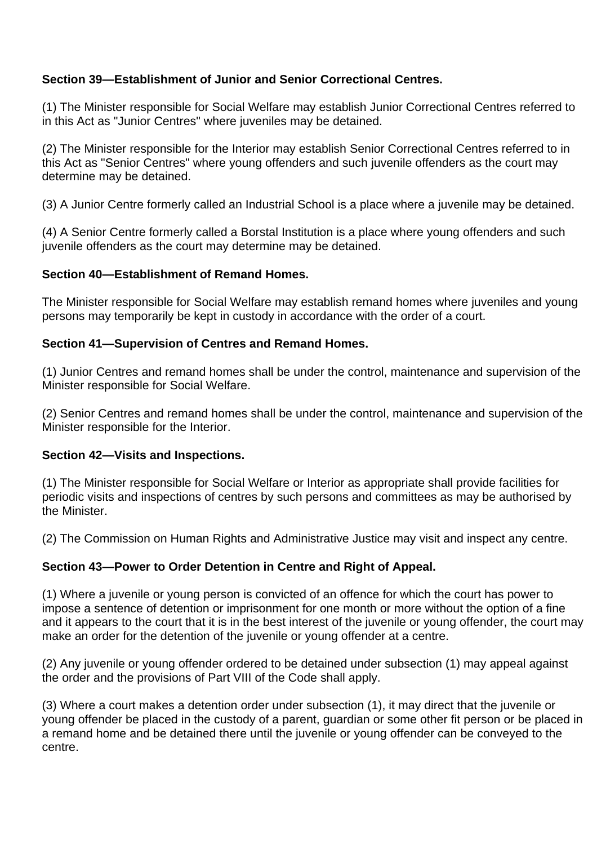# **Section 39—Establishment of Junior and Senior Correctional Centres.**

(1) The Minister responsible for Social Welfare may establish Junior Correctional Centres referred to in this Act as "Junior Centres" where juveniles may be detained.

(2) The Minister responsible for the Interior may establish Senior Correctional Centres referred to in this Act as "Senior Centres" where young offenders and such juvenile offenders as the court may determine may be detained.

(3) A Junior Centre formerly called an Industrial School is a place where a juvenile may be detained.

(4) A Senior Centre formerly called a Borstal Institution is a place where young offenders and such juvenile offenders as the court may determine may be detained.

## **Section 40—Establishment of Remand Homes.**

The Minister responsible for Social Welfare may establish remand homes where juveniles and young persons may temporarily be kept in custody in accordance with the order of a court.

## **Section 41—Supervision of Centres and Remand Homes.**

(1) Junior Centres and remand homes shall be under the control, maintenance and supervision of the Minister responsible for Social Welfare.

(2) Senior Centres and remand homes shall be under the control, maintenance and supervision of the Minister responsible for the Interior.

## **Section 42—Visits and Inspections.**

(1) The Minister responsible for Social Welfare or Interior as appropriate shall provide facilities for periodic visits and inspections of centres by such persons and committees as may be authorised by the Minister.

(2) The Commission on Human Rights and Administrative Justice may visit and inspect any centre.

# **Section 43—Power to Order Detention in Centre and Right of Appeal.**

(1) Where a juvenile or young person is convicted of an offence for which the court has power to impose a sentence of detention or imprisonment for one month or more without the option of a fine and it appears to the court that it is in the best interest of the juvenile or young offender, the court may make an order for the detention of the juvenile or young offender at a centre.

(2) Any juvenile or young offender ordered to be detained under subsection (1) may appeal against the order and the provisions of Part VIII of the Code shall apply.

(3) Where a court makes a detention order under subsection (1), it may direct that the juvenile or young offender be placed in the custody of a parent, guardian or some other fit person or be placed in a remand home and be detained there until the juvenile or young offender can be conveyed to the centre.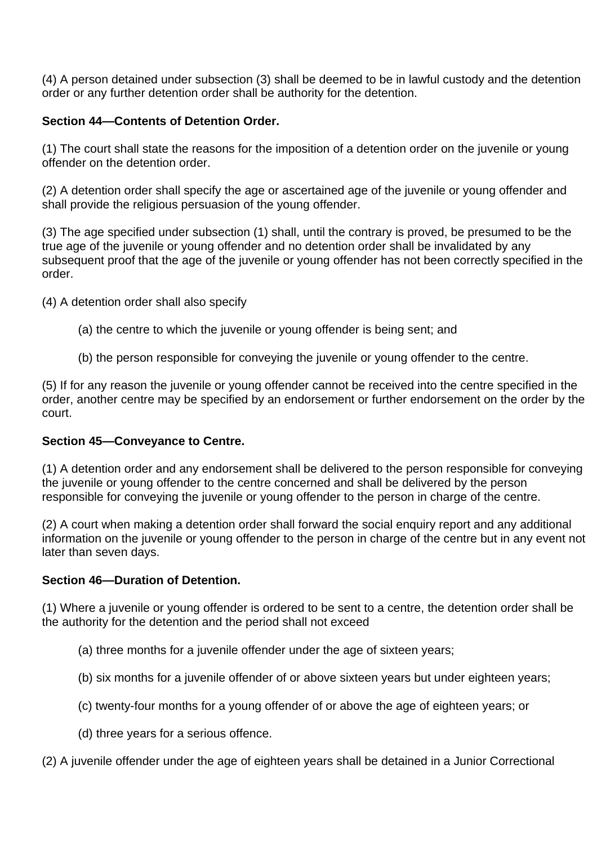(4) A person detained under subsection (3) shall be deemed to be in lawful custody and the detention order or any further detention order shall be authority for the detention.

# **Section 44—Contents of Detention Order.**

(1) The court shall state the reasons for the imposition of a detention order on the juvenile or young offender on the detention order.

(2) A detention order shall specify the age or ascertained age of the juvenile or young offender and shall provide the religious persuasion of the young offender.

(3) The age specified under subsection (1) shall, until the contrary is proved, be presumed to be the true age of the juvenile or young offender and no detention order shall be invalidated by any subsequent proof that the age of the juvenile or young offender has not been correctly specified in the order.

(4) A detention order shall also specify

- (a) the centre to which the juvenile or young offender is being sent; and
- (b) the person responsible for conveying the juvenile or young offender to the centre.

(5) If for any reason the juvenile or young offender cannot be received into the centre specified in the order, another centre may be specified by an endorsement or further endorsement on the order by the court.

# **Section 45—Conveyance to Centre.**

(1) A detention order and any endorsement shall be delivered to the person responsible for conveying the juvenile or young offender to the centre concerned and shall be delivered by the person responsible for conveying the juvenile or young offender to the person in charge of the centre.

(2) A court when making a detention order shall forward the social enquiry report and any additional information on the juvenile or young offender to the person in charge of the centre but in any event not later than seven days.

# **Section 46—Duration of Detention.**

(1) Where a juvenile or young offender is ordered to be sent to a centre, the detention order shall be the authority for the detention and the period shall not exceed

- (a) three months for a juvenile offender under the age of sixteen years;
- (b) six months for a juvenile offender of or above sixteen years but under eighteen years;
- (c) twenty-four months for a young offender of or above the age of eighteen years; or
- (d) three years for a serious offence.

(2) A juvenile offender under the age of eighteen years shall be detained in a Junior Correctional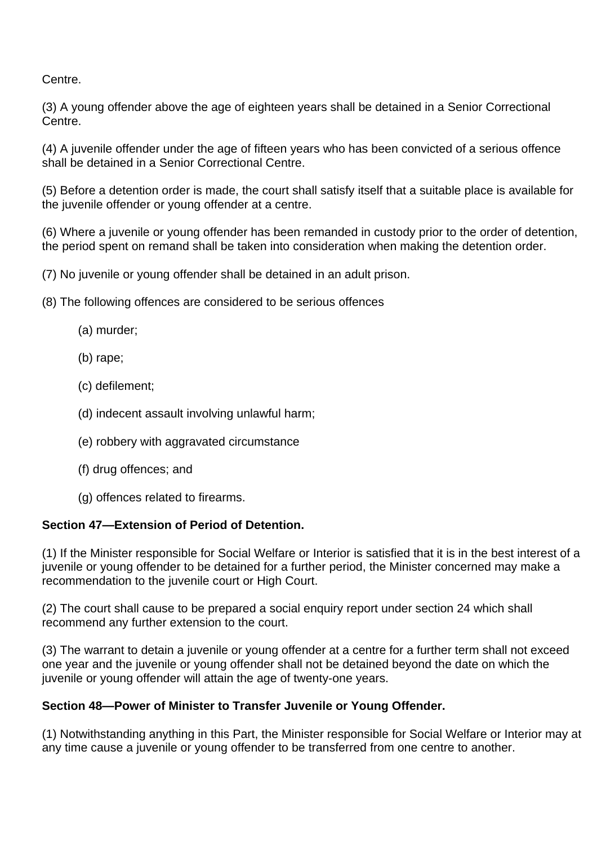Centre.

(3) A young offender above the age of eighteen years shall be detained in a Senior Correctional Centre.

(4) A juvenile offender under the age of fifteen years who has been convicted of a serious offence shall be detained in a Senior Correctional Centre.

(5) Before a detention order is made, the court shall satisfy itself that a suitable place is available for the juvenile offender or young offender at a centre.

(6) Where a juvenile or young offender has been remanded in custody prior to the order of detention, the period spent on remand shall be taken into consideration when making the detention order.

(7) No juvenile or young offender shall be detained in an adult prison.

- (8) The following offences are considered to be serious offences
	- (a) murder;
	- (b) rape;
	- (c) defilement;
	- (d) indecent assault involving unlawful harm;
	- (e) robbery with aggravated circumstance
	- (f) drug offences; and
	- (g) offences related to firearms.

# **Section 47—Extension of Period of Detention.**

(1) If the Minister responsible for Social Welfare or Interior is satisfied that it is in the best interest of a juvenile or young offender to be detained for a further period, the Minister concerned may make a recommendation to the juvenile court or High Court.

(2) The court shall cause to be prepared a social enquiry report under section 24 which shall recommend any further extension to the court.

(3) The warrant to detain a juvenile or young offender at a centre for a further term shall not exceed one year and the juvenile or young offender shall not be detained beyond the date on which the juvenile or young offender will attain the age of twenty-one years.

## **Section 48—Power of Minister to Transfer Juvenile or Young Offender.**

(1) Notwithstanding anything in this Part, the Minister responsible for Social Welfare or Interior may at any time cause a juvenile or young offender to be transferred from one centre to another.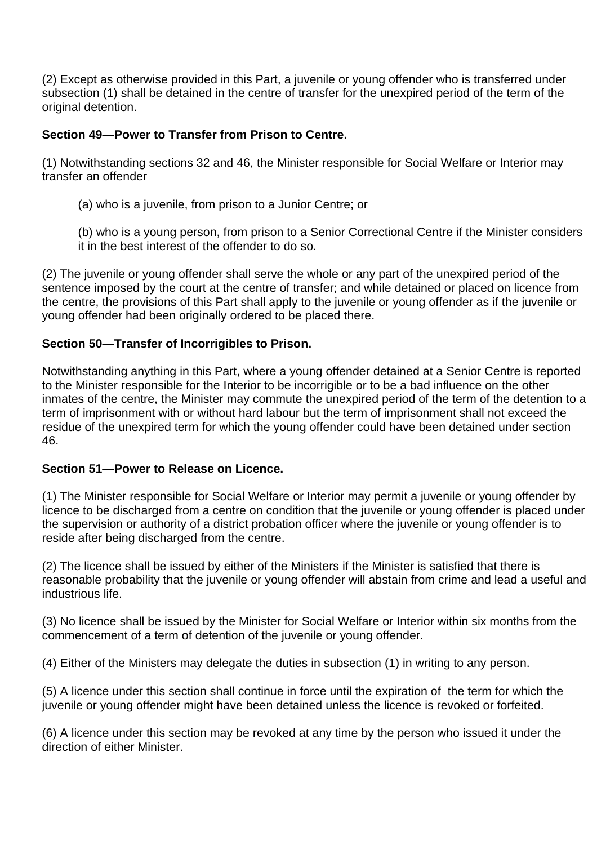(2) Except as otherwise provided in this Part, a juvenile or young offender who is transferred under subsection (1) shall be detained in the centre of transfer for the unexpired period of the term of the original detention.

# **Section 49—Power to Transfer from Prison to Centre.**

(1) Notwithstanding sections 32 and 46, the Minister responsible for Social Welfare or Interior may transfer an offender

(a) who is a juvenile, from prison to a Junior Centre; or

(b) who is a young person, from prison to a Senior Correctional Centre if the Minister considers it in the best interest of the offender to do so.

(2) The juvenile or young offender shall serve the whole or any part of the unexpired period of the sentence imposed by the court at the centre of transfer; and while detained or placed on licence from the centre, the provisions of this Part shall apply to the juvenile or young offender as if the juvenile or young offender had been originally ordered to be placed there.

# **Section 50—Transfer of Incorrigibles to Prison.**

Notwithstanding anything in this Part, where a young offender detained at a Senior Centre is reported to the Minister responsible for the Interior to be incorrigible or to be a bad influence on the other inmates of the centre, the Minister may commute the unexpired period of the term of the detention to a term of imprisonment with or without hard labour but the term of imprisonment shall not exceed the residue of the unexpired term for which the young offender could have been detained under section 46.

# **Section 51—Power to Release on Licence.**

(1) The Minister responsible for Social Welfare or Interior may permit a juvenile or young offender by licence to be discharged from a centre on condition that the juvenile or young offender is placed under the supervision or authority of a district probation officer where the juvenile or young offender is to reside after being discharged from the centre.

(2) The licence shall be issued by either of the Ministers if the Minister is satisfied that there is reasonable probability that the juvenile or young offender will abstain from crime and lead a useful and industrious life.

(3) No licence shall be issued by the Minister for Social Welfare or Interior within six months from the commencement of a term of detention of the juvenile or young offender.

(4) Either of the Ministers may delegate the duties in subsection (1) in writing to any person.

(5) A licence under this section shall continue in force until the expiration of the term for which the juvenile or young offender might have been detained unless the licence is revoked or forfeited.

(6) A licence under this section may be revoked at any time by the person who issued it under the direction of either Minister.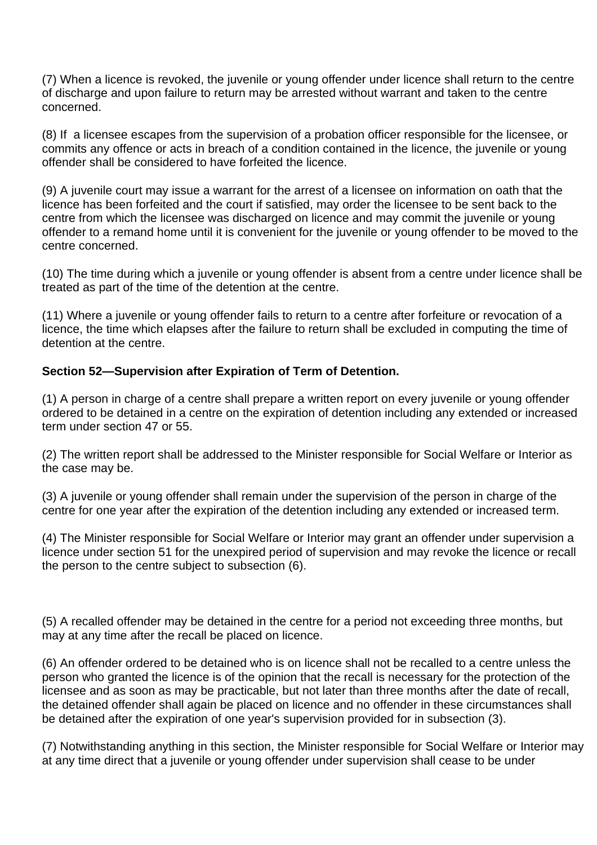(7) When a licence is revoked, the juvenile or young offender under licence shall return to the centre of discharge and upon failure to return may be arrested without warrant and taken to the centre concerned.

(8) If a licensee escapes from the supervision of a probation officer responsible for the licensee, or commits any offence or acts in breach of a condition contained in the licence, the juvenile or young offender shall be considered to have forfeited the licence.

(9) A juvenile court may issue a warrant for the arrest of a licensee on information on oath that the licence has been forfeited and the court if satisfied, may order the licensee to be sent back to the centre from which the licensee was discharged on licence and may commit the juvenile or young offender to a remand home until it is convenient for the juvenile or young offender to be moved to the centre concerned.

(10) The time during which a juvenile or young offender is absent from a centre under licence shall be treated as part of the time of the detention at the centre.

(11) Where a juvenile or young offender fails to return to a centre after forfeiture or revocation of a licence, the time which elapses after the failure to return shall be excluded in computing the time of detention at the centre.

# **Section 52—Supervision after Expiration of Term of Detention.**

(1) A person in charge of a centre shall prepare a written report on every juvenile or young offender ordered to be detained in a centre on the expiration of detention including any extended or increased term under section 47 or 55.

(2) The written report shall be addressed to the Minister responsible for Social Welfare or Interior as the case may be.

(3) A juvenile or young offender shall remain under the supervision of the person in charge of the centre for one year after the expiration of the detention including any extended or increased term.

(4) The Minister responsible for Social Welfare or Interior may grant an offender under supervision a licence under section 51 for the unexpired period of supervision and may revoke the licence or recall the person to the centre subject to subsection (6).

(5) A recalled offender may be detained in the centre for a period not exceeding three months, but may at any time after the recall be placed on licence.

(6) An offender ordered to be detained who is on licence shall not be recalled to a centre unless the person who granted the licence is of the opinion that the recall is necessary for the protection of the licensee and as soon as may be practicable, but not later than three months after the date of recall, the detained offender shall again be placed on licence and no offender in these circumstances shall be detained after the expiration of one year's supervision provided for in subsection (3).

(7) Notwithstanding anything in this section, the Minister responsible for Social Welfare or Interior may at any time direct that a juvenile or young offender under supervision shall cease to be under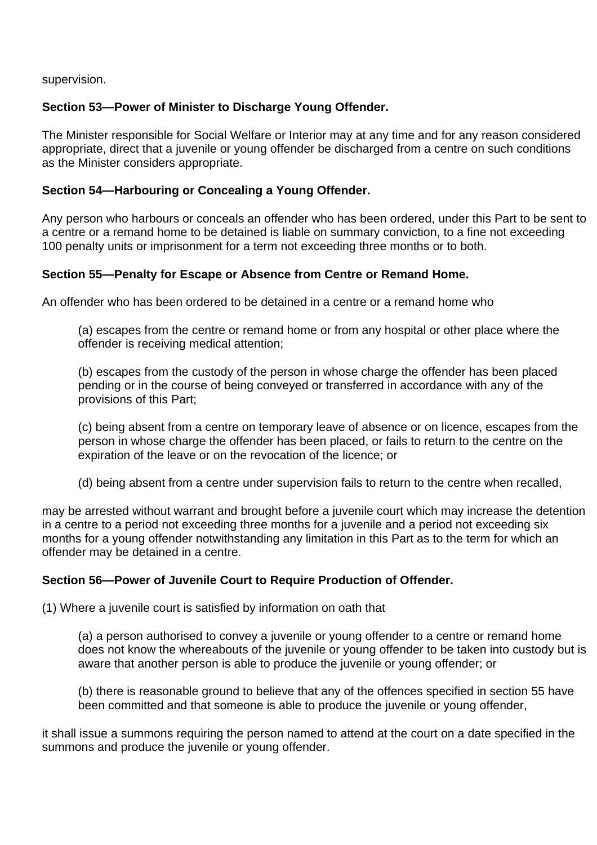supervision.

# **Section 53—Power of Minister to Discharge Young Offender.**

The Minister responsible for Social Welfare or Interior may at any time and for any reason considered appropriate, direct that a juvenile or young offender be discharged from a centre on such conditions as the Minister considers appropriate.

# **Section 54—Harbouring or Concealing a Young Offender.**

Any person who harbours or conceals an offender who has been ordered, under this Part to be sent to a centre or a remand home to be detained is liable on summary conviction, to a fine not exceeding 100 penalty units or imprisonment for a term not exceeding three months or to both.

# **Section 55—Penalty for Escape or Absence from Centre or Remand Home.**

An offender who has been ordered to be detained in a centre or a remand home who

(a) escapes from the centre or remand home or from any hospital or other place where the offender is receiving medical attention;

(b) escapes from the custody of the person in whose charge the offender has been placed pending or in the course of being conveyed or transferred in accordance with any of the provisions of this Part;

(c) being absent from a centre on temporary leave of absence or on licence, escapes from the person in whose charge the offender has been placed, or fails to return to the centre on the expiration of the leave or on the revocation of the licence; or

(d) being absent from a centre under supervision fails to return to the centre when recalled,

may be arrested without warrant and brought before a juvenile court which may increase the detention in a centre to a period not exceeding three months for a juvenile and a period not exceeding six months for a young offender notwithstanding any limitation in this Part as to the term for which an offender may be detained in a centre.

# **Section 56—Power of Juvenile Court to Require Production of Offender.**

(1) Where a juvenile court is satisfied by information on oath that

(a) a person authorised to convey a juvenile or young offender to a centre or remand home does not know the whereabouts of the juvenile or young offender to be taken into custody but is aware that another person is able to produce the juvenile or young offender; or

(b) there is reasonable ground to believe that any of the offences specified in section 55 have been committed and that someone is able to produce the juvenile or young offender,

it shall issue a summons requiring the person named to attend at the court on a date specified in the summons and produce the juvenile or young offender.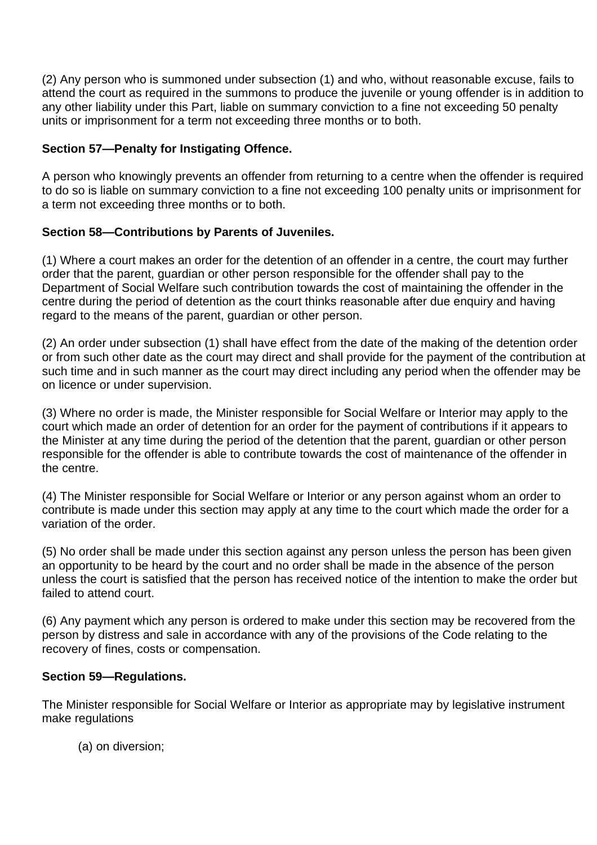(2) Any person who is summoned under subsection (1) and who, without reasonable excuse, fails to attend the court as required in the summons to produce the juvenile or young offender is in addition to any other liability under this Part, liable on summary conviction to a fine not exceeding 50 penalty units or imprisonment for a term not exceeding three months or to both.

# **Section 57—Penalty for Instigating Offence.**

A person who knowingly prevents an offender from returning to a centre when the offender is required to do so is liable on summary conviction to a fine not exceeding 100 penalty units or imprisonment for a term not exceeding three months or to both.

# **Section 58—Contributions by Parents of Juveniles.**

(1) Where a court makes an order for the detention of an offender in a centre, the court may further order that the parent, guardian or other person responsible for the offender shall pay to the Department of Social Welfare such contribution towards the cost of maintaining the offender in the centre during the period of detention as the court thinks reasonable after due enquiry and having regard to the means of the parent, guardian or other person.

(2) An order under subsection (1) shall have effect from the date of the making of the detention order or from such other date as the court may direct and shall provide for the payment of the contribution at such time and in such manner as the court may direct including any period when the offender may be on licence or under supervision.

(3) Where no order is made, the Minister responsible for Social Welfare or Interior may apply to the court which made an order of detention for an order for the payment of contributions if it appears to the Minister at any time during the period of the detention that the parent, guardian or other person responsible for the offender is able to contribute towards the cost of maintenance of the offender in the centre.

(4) The Minister responsible for Social Welfare or Interior or any person against whom an order to contribute is made under this section may apply at any time to the court which made the order for a variation of the order.

(5) No order shall be made under this section against any person unless the person has been given an opportunity to be heard by the court and no order shall be made in the absence of the person unless the court is satisfied that the person has received notice of the intention to make the order but failed to attend court.

(6) Any payment which any person is ordered to make under this section may be recovered from the person by distress and sale in accordance with any of the provisions of the Code relating to the recovery of fines, costs or compensation.

# **Section 59—Regulations.**

The Minister responsible for Social Welfare or Interior as appropriate may by legislative instrument make regulations

(a) on diversion;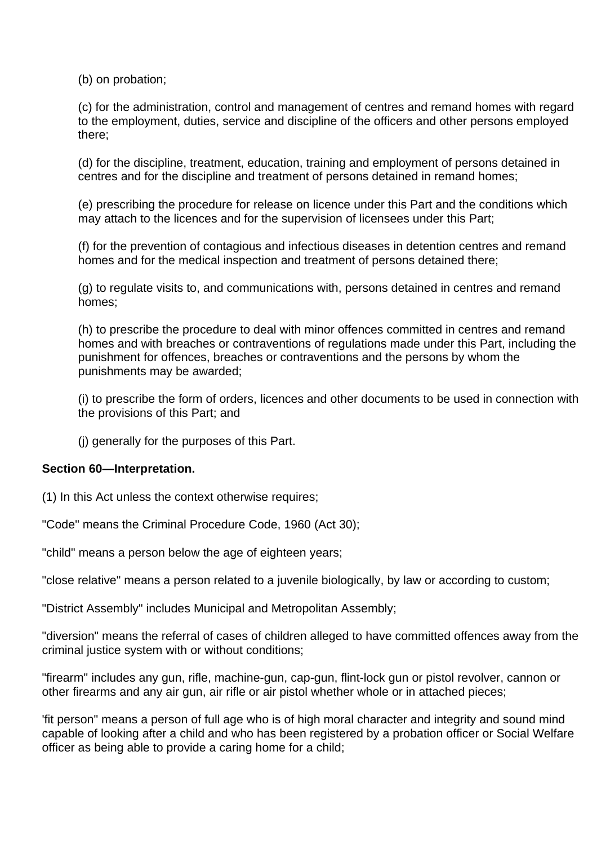(b) on probation;

(c) for the administration, control and management of centres and remand homes with regard to the employment, duties, service and discipline of the officers and other persons employed there;

(d) for the discipline, treatment, education, training and employment of persons detained in centres and for the discipline and treatment of persons detained in remand homes;

(e) prescribing the procedure for release on licence under this Part and the conditions which may attach to the licences and for the supervision of licensees under this Part;

(f) for the prevention of contagious and infectious diseases in detention centres and remand homes and for the medical inspection and treatment of persons detained there;

(g) to regulate visits to, and communications with, persons detained in centres and remand homes;

(h) to prescribe the procedure to deal with minor offences committed in centres and remand homes and with breaches or contraventions of regulations made under this Part, including the punishment for offences, breaches or contraventions and the persons by whom the punishments may be awarded;

(i) to prescribe the form of orders, licences and other documents to be used in connection with the provisions of this Part; and

(j) generally for the purposes of this Part.

## **Section 60—Interpretation.**

(1) In this Act unless the context otherwise requires;

"Code" means the Criminal Procedure Code, 1960 (Act 30);

"child" means a person below the age of eighteen years;

"close relative" means a person related to a juvenile biologically, by law or according to custom;

"District Assembly" includes Municipal and Metropolitan Assembly;

"diversion" means the referral of cases of children alleged to have committed offences away from the criminal justice system with or without conditions;

"firearm" includes any gun, rifle, machine-gun, cap-gun, flint-lock gun or pistol revolver, cannon or other firearms and any air gun, air rifle or air pistol whether whole or in attached pieces;

'fit person" means a person of full age who is of high moral character and integrity and sound mind capable of looking after a child and who has been registered by a probation officer or Social Welfare officer as being able to provide a caring home for a child;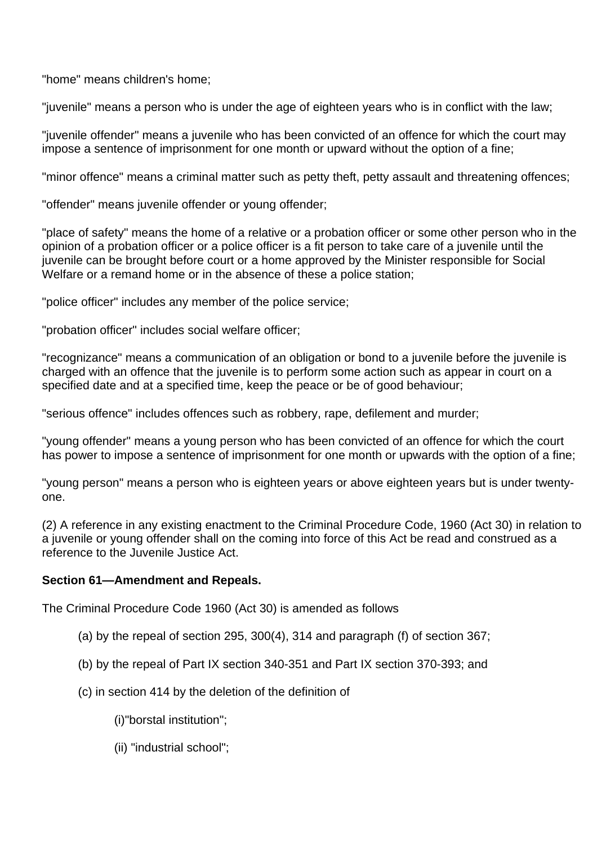"home" means children's home;

"juvenile" means a person who is under the age of eighteen years who is in conflict with the law;

"juvenile offender" means a juvenile who has been convicted of an offence for which the court may impose a sentence of imprisonment for one month or upward without the option of a fine;

"minor offence" means a criminal matter such as petty theft, petty assault and threatening offences;

"offender" means juvenile offender or young offender;

"place of safety" means the home of a relative or a probation officer or some other person who in the opinion of a probation officer or a police officer is a fit person to take care of a juvenile until the juvenile can be brought before court or a home approved by the Minister responsible for Social Welfare or a remand home or in the absence of these a police station;

"police officer" includes any member of the police service;

"probation officer" includes social welfare officer;

"recognizance" means a communication of an obligation or bond to a juvenile before the juvenile is charged with an offence that the juvenile is to perform some action such as appear in court on a specified date and at a specified time, keep the peace or be of good behaviour;

"serious offence" includes offences such as robbery, rape, defilement and murder;

"young offender" means a young person who has been convicted of an offence for which the court has power to impose a sentence of imprisonment for one month or upwards with the option of a fine;

"young person" means a person who is eighteen years or above eighteen years but is under twentyone.

(2) A reference in any existing enactment to the Criminal Procedure Code, 1960 (Act 30) in relation to a juvenile or young offender shall on the coming into force of this Act be read and construed as a reference to the Juvenile Justice Act.

## **Section 61—Amendment and Repeals.**

The Criminal Procedure Code 1960 (Act 30) is amended as follows

- (a) by the repeal of section 295, 300(4), 314 and paragraph (f) of section 367;
- (b) by the repeal of Part IX section 340-351 and Part IX section 370-393; and
- (c) in section 414 by the deletion of the definition of
	- (i)"borstal institution";
	- (ii) "industrial school";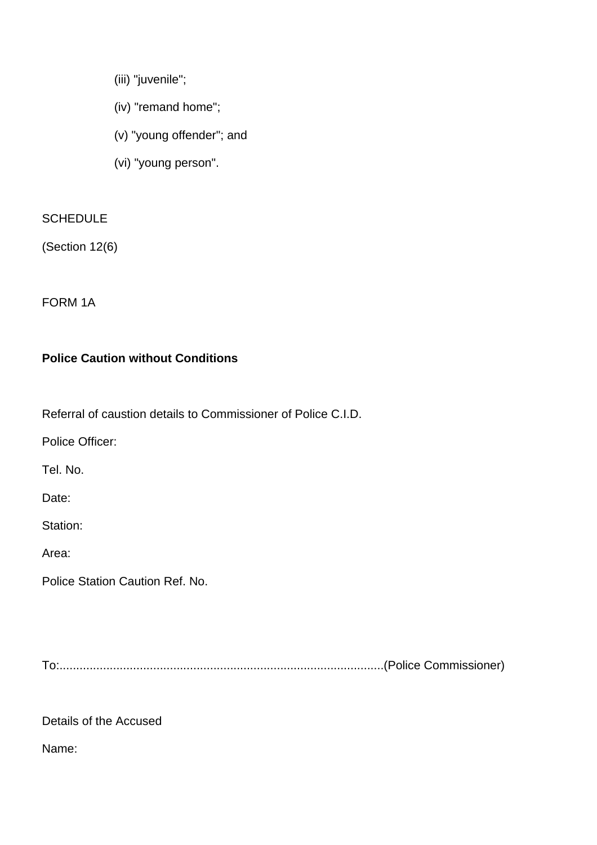- (iii) "juvenile";
- (iv) "remand home";
- (v) "young offender"; and
- (vi) "young person".

# **SCHEDULE**

(Section 12(6)

FORM 1A

# **Police Caution without Conditions**

Referral of caustion details to Commissioner of Police C.I.D.

Police Officer:

Tel. No.

Date:

Station:

Area:

Police Station Caution Ref. No.

To:.................................................................................................(Police Commissioner)

Details of the Accused

Name: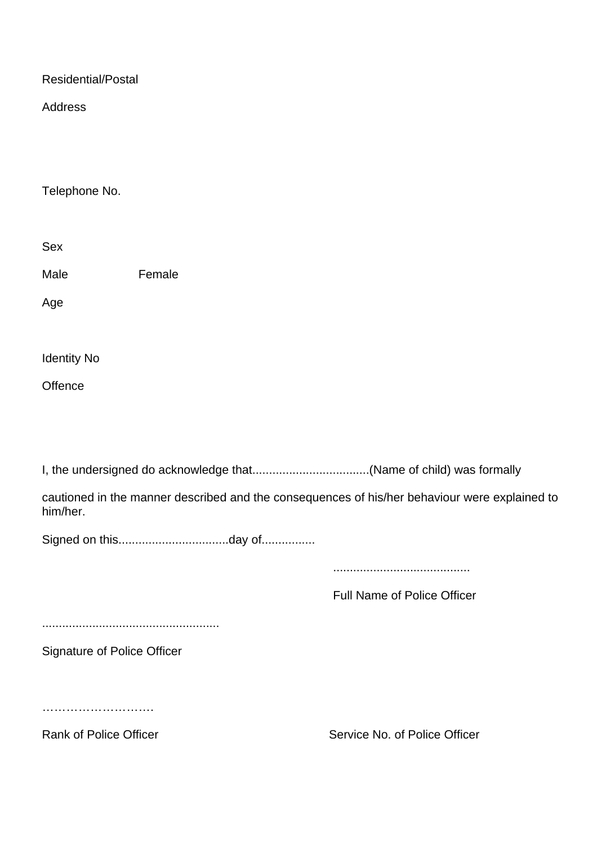Residential/Postal

Address

Telephone No.

Sex

Male **Female** 

Age

Identity No

**Offence** 

I, the undersigned do acknowledge that...................................(Name of child) was formally

cautioned in the manner described and the consequences of his/her behaviour were explained to him/her.

Signed on this.................................day of................

.........................................

Full Name of Police Officer

.....................................................

Signature of Police Officer

……………………….

Rank of Police Officer Service No. of Police Officer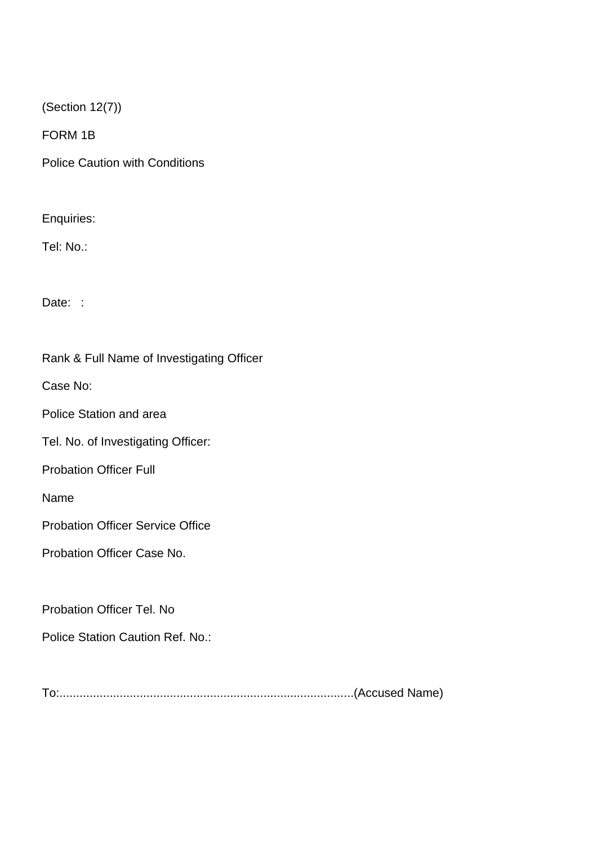(Section 12(7))

FORM 1B

Police Caution with Conditions

Enquiries:

Tel: No.:

Date: :

Rank & Full Name of Investigating Officer

Case No:

Police Station and area

Tel. No. of Investigating Officer:

Probation Officer Full

Name

Probation Officer Service Office

Probation Officer Case No.

Probation Officer Tel. No

Police Station Caution Ref. No.:

To:........................................................................................(Accused Name)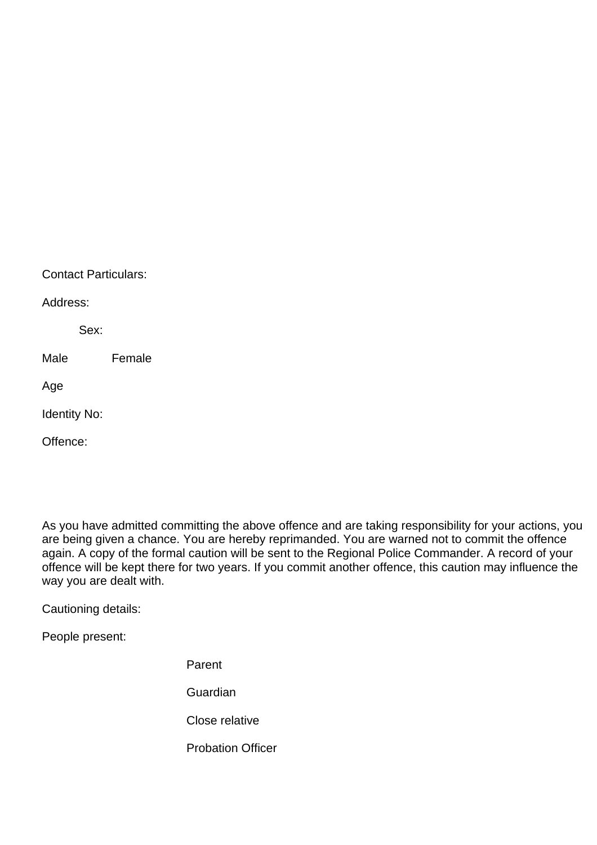| <b>Contact Particulars:</b> |        |  |
|-----------------------------|--------|--|
| Address:                    |        |  |
| Sex:                        |        |  |
| Male                        | Female |  |
| Age                         |        |  |
| <b>Identity No:</b>         |        |  |
| ffence:                     |        |  |

As you have admitted committing the above offence and are taking responsibility for your actions, you are being given a chance. You are hereby reprimanded. You are warned not to commit the offence again. A copy of the formal caution will be sent to the Regional Police Commander. A record of your offence will be kept there for two years. If you commit another offence, this caution may influence the way you are dealt with.

Cautioning details:

People present:

Parent **Guardian** Close relative

Probation Officer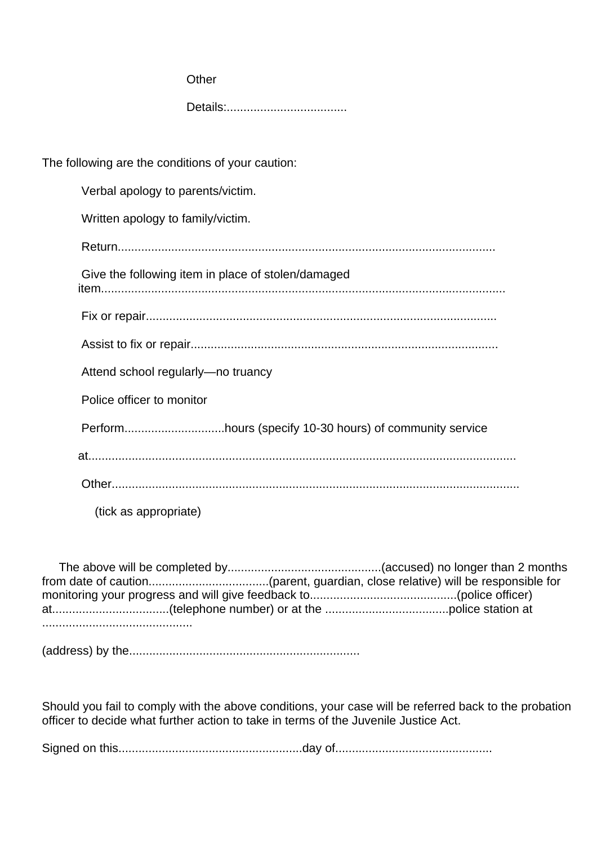| Other                                                   |  |
|---------------------------------------------------------|--|
|                                                         |  |
|                                                         |  |
| The following are the conditions of your caution:       |  |
| Verbal apology to parents/victim.                       |  |
| Written apology to family/victim.                       |  |
|                                                         |  |
| Give the following item in place of stolen/damaged      |  |
|                                                         |  |
|                                                         |  |
| Attend school regularly-no truancy                      |  |
| Police officer to monitor                               |  |
| Performhours (specify 10-30 hours) of community service |  |
|                                                         |  |
|                                                         |  |
| (tick as appropriate)                                   |  |

 The above will be completed by..............................................(accused) no longer than 2 months from date of caution....................................(parent, guardian, close relative) will be responsible for monitoring your progress and will give feedback to............................................(police officer) at...................................(telephone number) or at the .....................................police station at .............................................

(address) by the.....................................................................

Should you fail to comply with the above conditions, your case will be referred back to the probation officer to decide what further action to take in terms of the Juvenile Justice Act.

Signed on this.......................................................day of...............................................